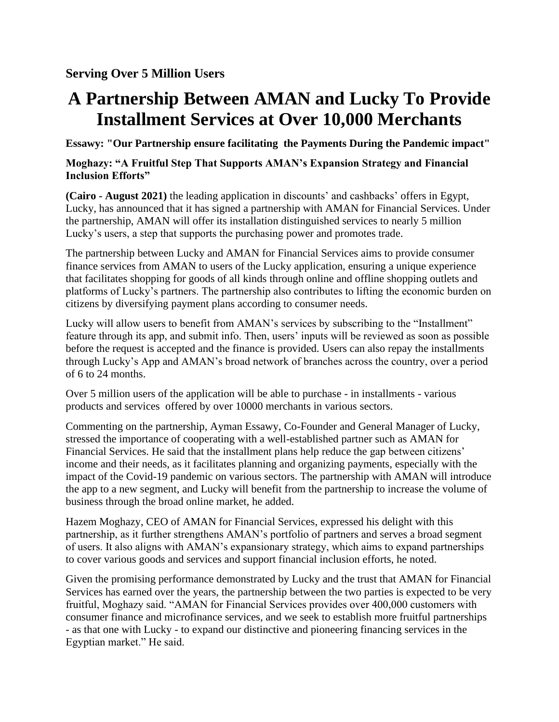## **A Partnership Between AMAN and Lucky To Provide Installment Services at Over 10,000 Merchants**

**Essawy: "Our Partnership ensure facilitating the Payments During the Pandemic impact"**

## **Moghazy: "A Fruitful Step That Supports AMAN's Expansion Strategy and Financial Inclusion Efforts"**

**(Cairo - August 2021)** the leading application in discounts' and cashbacks' offers in Egypt, Lucky, has announced that it has signed a partnership with AMAN for Financial Services. Under the partnership, AMAN will offer its installation distinguished services to nearly 5 million Lucky's users, a step that supports the purchasing power and promotes trade.

The partnership between Lucky and AMAN for Financial Services aims to provide consumer finance services from AMAN to users of the Lucky application, ensuring a unique experience that facilitates shopping for goods of all kinds through online and offline shopping outlets and platforms of Lucky's partners. The partnership also contributes to lifting the economic burden on citizens by diversifying payment plans according to consumer needs.

Lucky will allow users to benefit from AMAN's services by subscribing to the "Installment" feature through its app, and submit info. Then, users' inputs will be reviewed as soon as possible before the request is accepted and the finance is provided. Users can also repay the installments through Lucky's App and AMAN's broad network of branches across the country, over a period of 6 to 24 months.

Over 5 million users of the application will be able to purchase - in installments - various products and services offered by over 10000 merchants in various sectors.

Commenting on the partnership, Ayman Essawy, Co-Founder and General Manager of Lucky, stressed the importance of cooperating with a well-established partner such as AMAN for Financial Services. He said that the installment plans help reduce the gap between citizens' income and their needs, as it facilitates planning and organizing payments, especially with the impact of the Covid-19 pandemic on various sectors. The partnership with AMAN will introduce the app to a new segment, and Lucky will benefit from the partnership to increase the volume of business through the broad online market, he added.

Hazem Moghazy, CEO of AMAN for Financial Services, expressed his delight with this partnership, as it further strengthens AMAN's portfolio of partners and serves a broad segment of users. It also aligns with AMAN's expansionary strategy, which aims to expand partnerships to cover various goods and services and support financial inclusion efforts, he noted.

Given the promising performance demonstrated by Lucky and the trust that AMAN for Financial Services has earned over the years, the partnership between the two parties is expected to be very fruitful, Moghazy said. "AMAN for Financial Services provides over 400,000 customers with consumer finance and microfinance services, and we seek to establish more fruitful partnerships - as that one with Lucky - to expand our distinctive and pioneering financing services in the Egyptian market." He said.